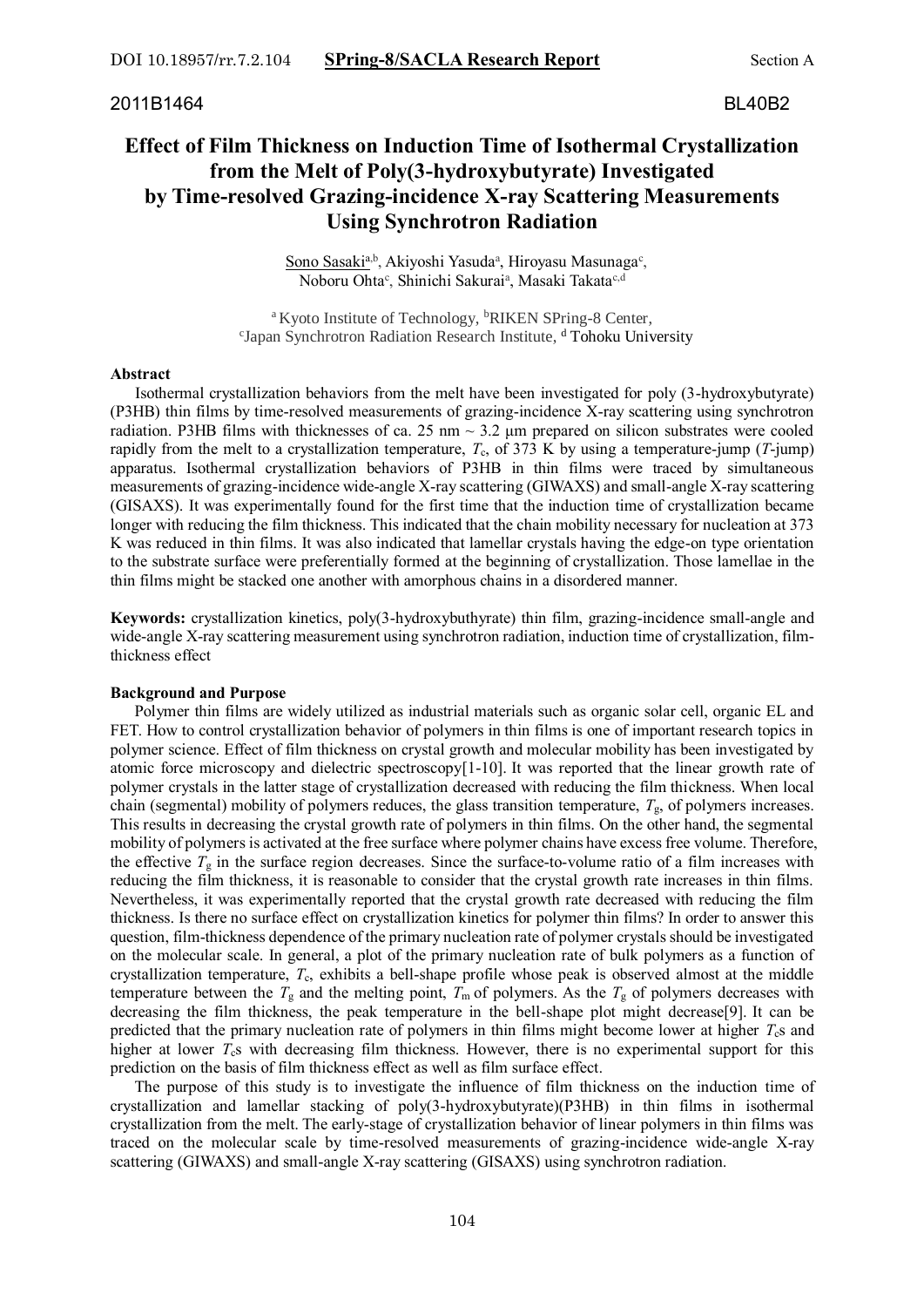# **Effect of Film Thickness on Induction Time of Isothermal Crystallization from the Melt of Poly(3-hydroxybutyrate) Investigated by Time-resolved Grazing-incidence X-ray Scattering Measurements Using Synchrotron Radiation**

Sono Sasaki<sup>a,b</sup>, Akiyoshi Yasuda<sup>a</sup>, Hiroyasu Masunaga<sup>c</sup>, Noboru Ohta<sup>c</sup>, Shinichi Sakurai<sup>a</sup>, Masaki Takata<sup>c,d</sup>

<sup>a</sup> Kyoto Institute of Technology, <sup>b</sup>RIKEN SPring-8 Center, c Japan Synchrotron Radiation Research Institute, <sup>d</sup> Tohoku University

## **Abstract**

 Isothermal crystallization behaviors from the melt have been investigated for poly (3-hydroxybutyrate) (P3HB) thin films by time-resolved measurements of grazing-incidence X-ray scattering using synchrotron radiation. P3HB films with thicknesses of ca. 25 nm  $\sim$  3.2  $\mu$ m prepared on silicon substrates were cooled rapidly from the melt to a crystallization temperature,  $T_c$ , of 373 K by using a temperature-jump ( $T$ -jump) apparatus. Isothermal crystallization behaviors of P3HB in thin films were traced by simultaneous measurements of grazing-incidence wide-angle X-ray scattering (GIWAXS) and small-angle X-ray scattering (GISAXS). It was experimentally found for the first time that the induction time of crystallization became longer with reducing the film thickness. This indicated that the chain mobility necessary for nucleation at 373 K was reduced in thin films. It was also indicated that lamellar crystals having the edge-on type orientation to the substrate surface were preferentially formed at the beginning of crystallization. Those lamellae in the thin films might be stacked one another with amorphous chains in a disordered manner.

**Keywords:** crystallization kinetics, poly(3-hydroxybuthyrate) thin film, grazing-incidence small-angle and wide-angle X-ray scattering measurement using synchrotron radiation, induction time of crystallization, filmthickness effect

# **Background and Purpose**

Polymer thin films are widely utilized as industrial materials such as organic solar cell, organic EL and FET. How to control crystallization behavior of polymers in thin films is one of important research topics in polymer science. Effect of film thickness on crystal growth and molecular mobility has been investigated by atomic force microscopy and dielectric spectroscopy[1-10]. It was reported that the linear growth rate of polymer crystals in the latter stage of crystallization decreased with reducing the film thickness. When local chain (segmental) mobility of polymers reduces, the glass transition temperature, *T*g, of polymers increases. This results in decreasing the crystal growth rate of polymers in thin films. On the other hand, the segmental mobility of polymers is activated at the free surface where polymer chains have excess free volume. Therefore, the effective  $T_g$  in the surface region decreases. Since the surface-to-volume ratio of a film increases with reducing the film thickness, it is reasonable to consider that the crystal growth rate increases in thin films. Nevertheless, it was experimentally reported that the crystal growth rate decreased with reducing the film thickness. Is there no surface effect on crystallization kinetics for polymer thin films? In order to answer this question, film-thickness dependence of the primary nucleation rate of polymer crystals should be investigated on the molecular scale. In general, a plot of the primary nucleation rate of bulk polymers as a function of crystallization temperature, *T*c, exhibits a bell-shape profile whose peak is observed almost at the middle temperature between the  $T_g$  and the melting point,  $T_m$  of polymers. As the  $T_g$  of polymers decreases with decreasing the film thickness, the peak temperature in the bell-shape plot might decrease[9]. It can be predicted that the primary nucleation rate of polymers in thin films might become lower at higher  $T<sub>c</sub>$ s and higher at lower *T<sub>c</sub>s* with decreasing film thickness. However, there is no experimental support for this prediction on the basis of film thickness effect as well as film surface effect.

The purpose of this study is to investigate the influence of film thickness on the induction time of crystallization and lamellar stacking of poly(3-hydroxybutyrate)(P3HB) in thin films in isothermal crystallization from the melt. The early-stage of crystallization behavior of linear polymers in thin films was traced on the molecular scale by time-resolved measurements of grazing-incidence wide-angle X-ray scattering (GIWAXS) and small-angle X-ray scattering (GISAXS) using synchrotron radiation.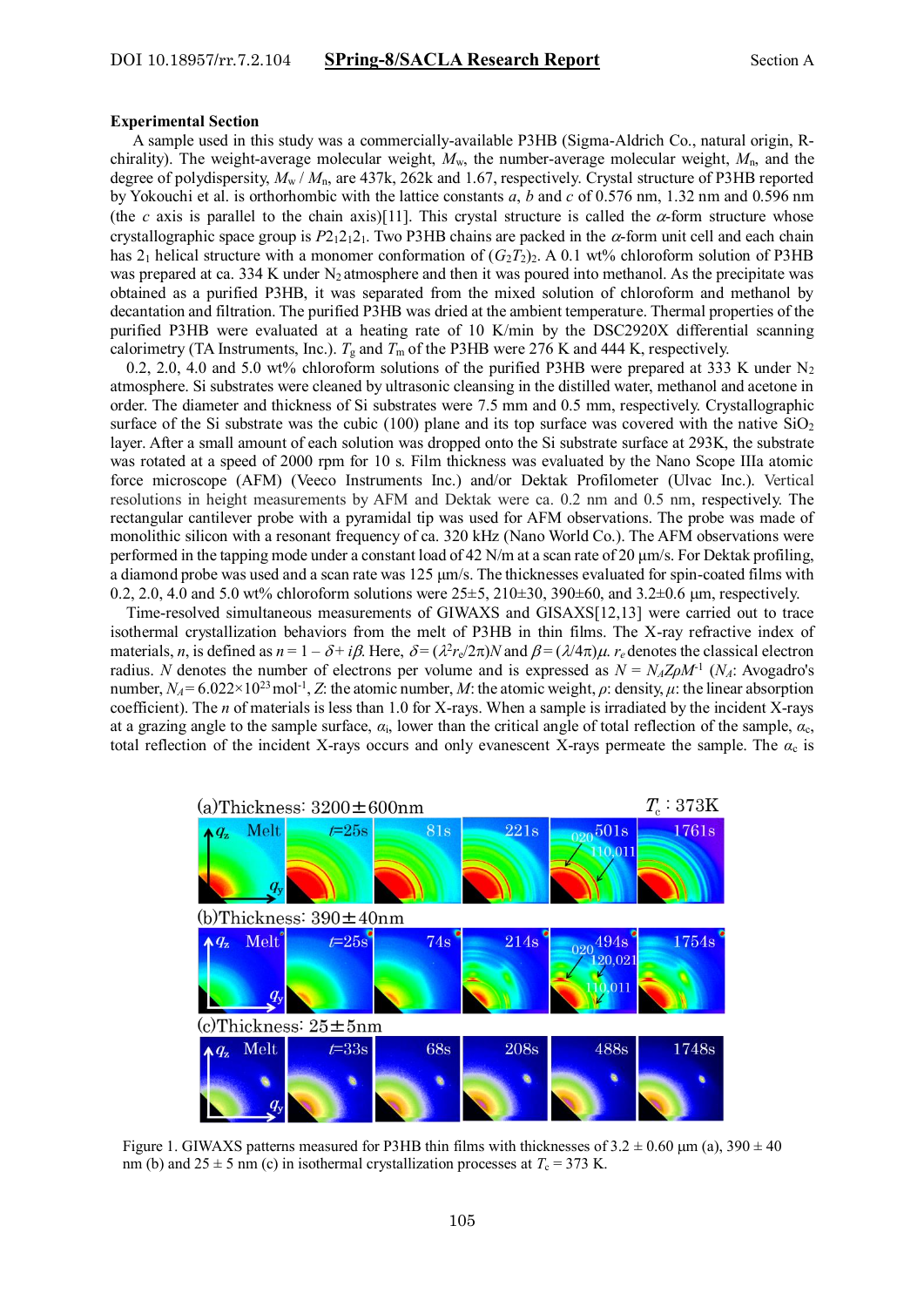#### **Experimental Section**

A sample used in this study was a commercially-available P3HB (Sigma-Aldrich Co., natural origin, Rchirality). The weight-average molecular weight, *M*w, the number-average molecular weight, *M*n, and the degree of polydispersity, *M*<sup>w</sup> / *M*n, are 437k, 262k and 1.67, respectively. Crystal structure of P3HB reported by Yokouchi et al. is orthorhombic with the lattice constants *a*, *b* and *c* of 0.576 nm, 1.32 nm and 0.596 nm (the *c* axis is parallel to the chain axis)[11]. This crystal structure is called the  $\alpha$ -form structure whose crystallographic space group is  $P2_12_12_1$ . Two P3HB chains are packed in the  $\alpha$ -form unit cell and each chain has  $2_1$  helical structure with a monomer conformation of  $(G_2T_2)_2$ . A 0.1 wt% chloroform solution of P3HB was prepared at ca. 334 K under  $N_2$  atmosphere and then it was poured into methanol. As the precipitate was obtained as a purified P3HB, it was separated from the mixed solution of chloroform and methanol by decantation and filtration. The purified P3HB was dried at the ambient temperature. Thermal properties of the purified P3HB were evaluated at a heating rate of 10 K/min by the DSC2920X differential scanning calorimetry (TA Instruments, Inc.).  $T_g$  and  $T_m$  of the P3HB were 276 K and 444 K, respectively.

0.2, 2.0, 4.0 and 5.0 wt% chloroform solutions of the purified P3HB were prepared at 333 K under  $N_2$ atmosphere. Si substrates were cleaned by ultrasonic cleansing in the distilled water, methanol and acetone in order. The diameter and thickness of Si substrates were 7.5 mm and 0.5 mm, respectively. Crystallographic surface of the Si substrate was the cubic (100) plane and its top surface was covered with the native  $SiO<sub>2</sub>$ layer. After a small amount of each solution was dropped onto the Si substrate surface at 293K, the substrate was rotated at a speed of 2000 rpm for 10 s. Film thickness was evaluated by the Nano Scope IIIa atomic force microscope (AFM) (Veeco Instruments Inc.) and/or [Dektak Profilometer](http://www.nanotech.ucsb.edu/index.php?option=com_content&view=article&id=113:dektak-profilometer) (Ulvac Inc.). Vertical resolutions in height measurements by AFM and Dektak were ca. 0.2 nm and 0.5 nm, respectively. The rectangular cantilever probe with a pyramidal tip was used for AFM observations. The probe was made of monolithic silicon with a resonant frequency of ca. 320 kHz (Nano World Co.). The AFM observations were performed in the tapping mode under a constant load of 42 N/m at a scan rate of 20 μm/s. For Dektak profiling, a diamond probe was used and a scan rate was 125 μm/s. The thicknesses evaluated for spin-coated films with 0.2, 2.0, 4.0 and 5.0 wt% chloroform solutions were  $25\pm5$ ,  $210\pm30$ ,  $390\pm60$ , and  $3.2\pm0.6$  µm, respectively.

Time-resolved simultaneous measurements of GIWAXS and GISAXS[12,13] were carried out to trace isothermal crystallization behaviors from the melt of P3HB in thin films. The X-ray refractive index of materials, *n*, is defined as  $n = 1 - \delta + i\beta$ . Here,  $\delta = (\lambda^2 r_e/2\pi)N$  and  $\beta = (\lambda/4\pi)\mu$ . *r<sub>e</sub>* denotes the classical electron radius. *N* denotes the number of electrons per volume and is expressed as  $N = N_A Z \rho M^{-1}$  ( $N_A$ : Avogadro's number,  $N_A$  = 6.022×10<sup>23</sup> mol<sup>-1</sup>, *Z*: the atomic number, *M*: the atomic weight, *ρ*: density, *μ*: the linear absorption coefficient). The *n* of materials is less than 1.0 for X-rays. When a sample is irradiated by the incident X-rays at a grazing angle to the sample surface, *α*i, lower than the critical angle of total reflection of the sample, *α*c, total reflection of the incident X-rays occurs and only evanescent X-rays permeate the sample. The  $\alpha_c$  is



Figure 1. GIWAXS patterns measured for P3HB thin films with thicknesses of  $3.2 \pm 0.60$  µm (a),  $390 \pm 40$ nm (b) and  $25 \pm 5$  nm (c) in isothermal crystallization processes at  $T_c = 373$  K.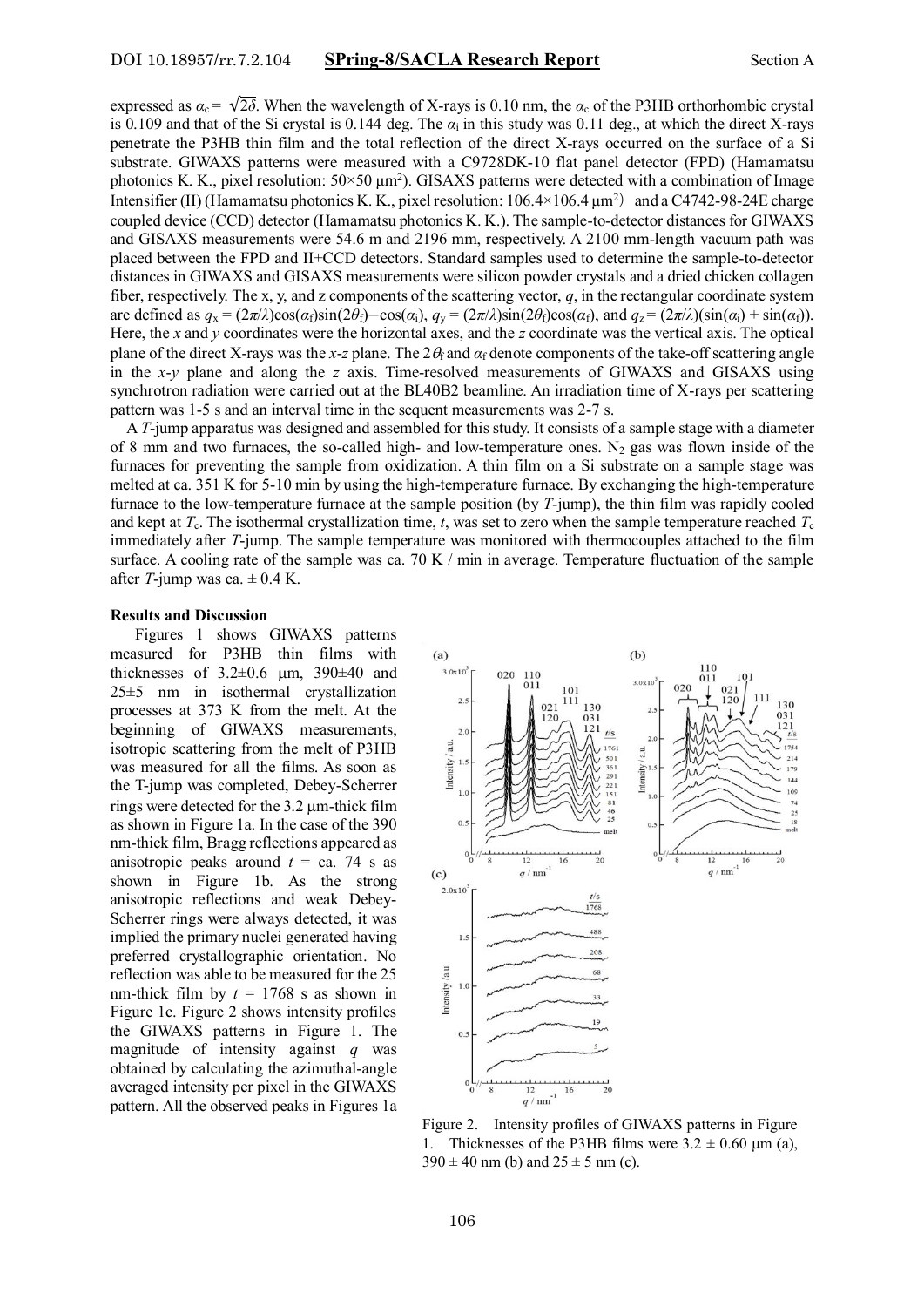expressed as  $\alpha_c = \sqrt{2\delta}$ . When the wavelength of X-rays is 0.10 nm, the  $\alpha_c$  of the P3HB orthorhombic crystal is 0.109 and that of the Si crystal is 0.144 deg. The  $\alpha_i$  in this study was 0.11 deg., at which the direct X-rays penetrate the P3HB thin film and the total reflection of the direct X-rays occurred on the surface of a Si substrate. GIWAXS patterns were measured with a C9728DK-10 flat panel detector (FPD) (Hamamatsu photonics K. K., pixel resolution:  $50 \times 50 \mu m^2$ ). GISAXS patterns were detected with a combination of Image Intensifier (II) (Hamamatsu photonics K. K., pixel resolution:  $106.4 \times 106.4 \mu m^2$ ) and a C4742-98-24E charge coupled device (CCD) detector (Hamamatsu photonics K. K.). The sample-to-detector distances for GIWAXS and GISAXS measurements were 54.6 m and 2196 mm, respectively. A 2100 mm-length vacuum path was placed between the FPD and II+CCD detectors. Standard samples used to determine the sample-to-detector distances in GIWAXS and GISAXS measurements were silicon powder crystals and a dried chicken collagen fiber, respectively. The x, y, and z components of the scattering vector, *q*, in the rectangular coordinate system are defined as  $q_x = (2\pi/\lambda)\cos(\alpha_1)\sin(2\theta_1) - \cos(\alpha_1)$ ,  $q_y = (2\pi/\lambda)\sin(2\theta_1)\cos(\alpha_1)$ , and  $q_z = (2\pi/\lambda)(\sin(\alpha_1) + \sin(\alpha_1))$ . Here, the *x* and *y* coordinates were the horizontal axes, and the *z* coordinate was the vertical axis. The optical plane of the direct X-rays was the *x*-*z* plane. The  $2\theta_f$  and  $\alpha_f$  denote components of the take-off scattering angle in the *x*-*y* plane and along the *z* axis. Time-resolved measurements of GIWAXS and GISAXS using synchrotron radiation were carried out at the BL40B2 beamline. An irradiation time of X-rays per scattering pattern was 1-5 s and an interval time in the sequent measurements was 2-7 s.

A *T*-jump apparatus was designed and assembled for this study. It consists of a sample stage with a diameter of 8 mm and two furnaces, the so-called high- and low-temperature ones. N<sub>2</sub> gas was flown inside of the furnaces for preventing the sample from oxidization. A thin film on a Si substrate on a sample stage was melted at ca. 351 K for 5-10 min by using the high-temperature furnace. By exchanging the high-temperature furnace to the low-temperature furnace at the sample position (by *T*-jump), the thin film was rapidly cooled and kept at  $T_c$ . The isothermal crystallization time, *t*, was set to zero when the sample temperature reached  $T_c$ immediately after *T*-jump. The sample temperature was monitored with thermocouples attached to the film surface. A cooling rate of the sample was ca. 70 K / min in average. Temperature fluctuation of the sample after *T*-jump was ca.  $\pm$  0.4 K.

## **Results and Discussion**

 Figures 1 shows GIWAXS patterns measured for P3HB thin films with thicknesses of  $3.2\pm0.6$  µm,  $390\pm40$  and 25±5 nm in isothermal crystallization processes at 373 K from the melt. At the beginning of GIWAXS measurements, isotropic scattering from the melt of P3HB was measured for all the films. As soon as the T-jump was completed, Debey-Scherrer rings were detected for the 3.2  $\mu$ m-thick film as shown in Figure 1a. In the case of the 390 nm-thick film, Bragg reflections appeared as anisotropic peaks around  $t = ca$ . 74 s as shown in Figure 1b. As the strong anisotropic reflections and weak Debey-Scherrer rings were always detected, it was implied the primary nuclei generated having preferred crystallographic orientation. No reflection was able to be measured for the 25 nm-thick film by  $t = 1768$  s as shown in Figure 1c. Figure 2 shows intensity profiles the GIWAXS patterns in Figure 1. The magnitude of intensity against *q* was obtained by calculating the azimuthal-angle averaged intensity per pixel in the GIWAXS pattern. All the observed peaks in Figures 1a



Figure 2. Intensity profiles of GIWAXS patterns in Figure 1. Thicknesses of the P3HB films were  $3.2 \pm 0.60$  µm (a),  $390 \pm 40$  nm (b) and  $25 \pm 5$  nm (c).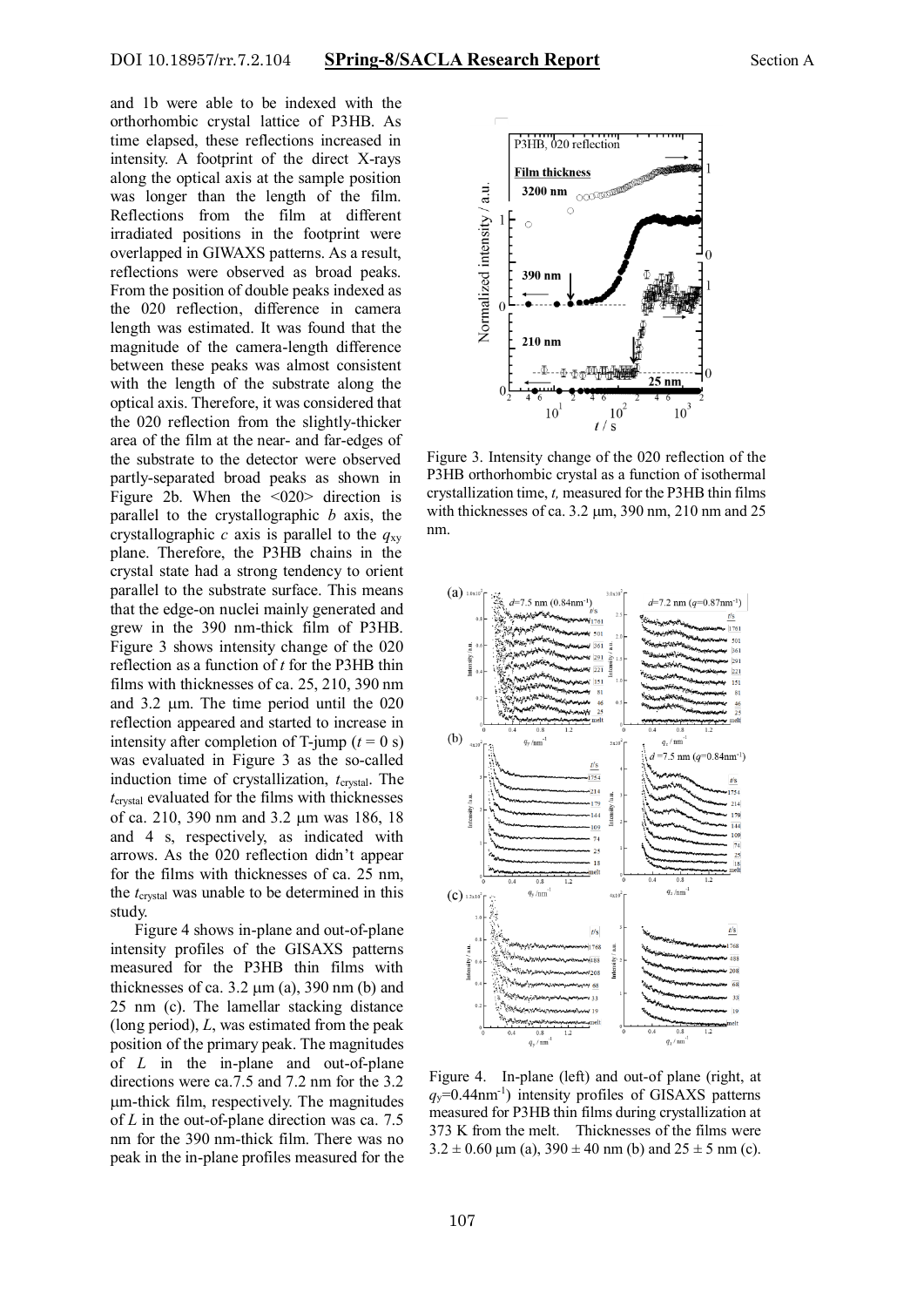and 1b were able to be indexed with the orthorhombic crystal lattice of P3HB. As time elapsed, these reflections increased in intensity. A footprint of the direct X-rays along the optical axis at the sample position was longer than the length of the film. Reflections from the film at different irradiated positions in the footprint were overlapped in GIWAXS patterns. As a result, reflections were observed as broad peaks. From the position of double peaks indexed as the 020 reflection, difference in camera length was estimated. It was found that the magnitude of the camera-length difference between these peaks was almost consistent with the length of the substrate along the optical axis. Therefore, it was considered that the 020 reflection from the slightly-thicker area of the film at the near- and far-edges of the substrate to the detector were observed partly-separated broad peaks as shown in Figure 2b. When the <020> direction is parallel to the crystallographic *b* axis, the crystallographic *c* axis is parallel to the  $q_{xy}$ plane. Therefore, the P3HB chains in the crystal state had a strong tendency to orient parallel to the substrate surface. This means that the edge-on nuclei mainly generated and grew in the 390 nm-thick film of P3HB. Figure 3 shows intensity change of the 020 reflection as a function of *t* for the P3HB thin films with thicknesses of ca. 25, 210, 390 nm and  $3.2 \mu m$ . The time period until the 020 reflection appeared and started to increase in intensity after completion of T-jump  $(t = 0 s)$ was evaluated in Figure 3 as the so-called induction time of crystallization, *t*<sub>crystal</sub>. The *t*crystal evaluated for the films with thicknesses of ca. 210, 390 nm and 3.2 µm was 186, 18 and 4 s, respectively, as indicated with arrows. As the 020 reflection didn't appear for the films with thicknesses of ca. 25 nm, the *t*crystal was unable to be determined in this study.

Figure 4 shows in-plane and out-of-plane intensity profiles of the GISAXS patterns measured for the P3HB thin films with thicknesses of ca.  $3.2 \mu m$  (a), 390 nm (b) and 25 nm (c). The lamellar stacking distance (long period), *L*, was estimated from the peak position of the primary peak. The magnitudes of *L* in the in-plane and out-of-plane directions were ca.7.5 and 7.2 nm for the 3.2 m-thick film, respectively. The magnitudes of *L* in the out-of-plane direction was ca. 7.5 nm for the 390 nm-thick film. There was no peak in the in-plane profiles measured for the



Figure 3. Intensity change of the 020 reflection of the P3HB orthorhombic crystal as a function of isothermal crystallization time, *t,* measured for the P3HB thin films with thicknesses of ca.  $3.2 \mu m$ , 390 nm, 210 nm and 25 nm.



Figure 4. In-plane (left) and out-of plane (right, at  $q_y$ =0.44nm<sup>-1</sup>) intensity profiles of GISAXS patterns measured for P3HB thin films during crystallization at 373 K from the melt. Thicknesses of the films were  $3.2 \pm 0.60$  µm (a),  $390 \pm 40$  nm (b) and  $25 \pm 5$  nm (c).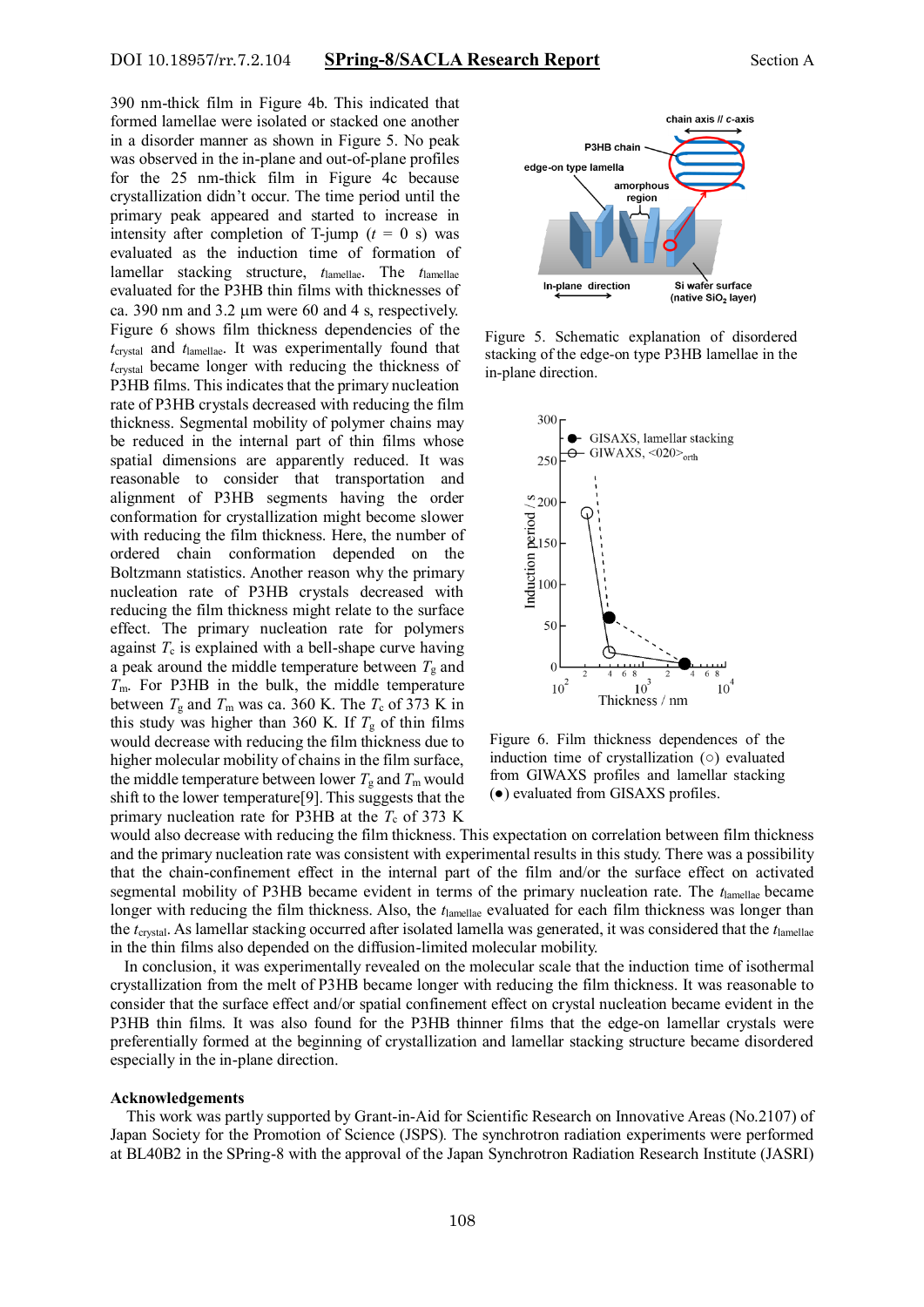390 nm-thick film in Figure 4b. This indicated that formed lamellae were isolated or stacked one another in a disorder manner as shown in Figure 5. No peak was observed in the in-plane and out-of-plane profiles for the 25 nm-thick film in Figure 4c because crystallization didn't occur. The time period until the primary peak appeared and started to increase in intensity after completion of T-jump  $(t = 0 s)$  was evaluated as the induction time of formation of lamellar stacking structure, *t*lamellae. The *t*lamellae evaluated for the P3HB thin films with thicknesses of ca. 390 nm and  $3.2 \mu m$  were 60 and 4 s, respectively. Figure 6 shows film thickness dependencies of the *t*crystal and *t*lamellae. It was experimentally found that *t*crystal became longer with reducing the thickness of P3HB films. This indicates that the primary nucleation rate of P3HB crystals decreased with reducing the film thickness. Segmental mobility of polymer chains may be reduced in the internal part of thin films whose spatial dimensions are apparently reduced. It was reasonable to consider that transportation and alignment of P3HB segments having the order conformation for crystallization might become slower with reducing the film thickness. Here, the number of ordered chain conformation depended on the Boltzmann statistics. Another reason why the primary nucleation rate of P3HB crystals decreased with reducing the film thickness might relate to the surface effect. The primary nucleation rate for polymers against *T*<sup>c</sup> is explained with a bell-shape curve having a peak around the middle temperature between  $T_g$  and *T*m. For P3HB in the bulk, the middle temperature between  $T_g$  and  $T_m$  was ca. 360 K. The  $T_c$  of 373 K in this study was higher than 360 K. If  $T<sub>g</sub>$  of thin films would decrease with reducing the film thickness due to higher molecular mobility of chains in the film surface, the middle temperature between lower  $T_g$  and  $T_m$  would shift to the lower temperature[9]. This suggests that the primary nucleation rate for P3HB at the  $T_c$  of 373 K



Figure 5. Schematic explanation of disordered stacking of the edge-on type P3HB lamellae in the in-plane direction.



Figure 6. Film thickness dependences of the induction time of crystallization (○) evaluated from GIWAXS profiles and lamellar stacking (●) evaluated from GISAXS profiles.

would also decrease with reducing the film thickness. This expectation on correlation between film thickness and the primary nucleation rate was consistent with experimental results in this study. There was a possibility that the chain-confinement effect in the internal part of the film and/or the surface effect on activated segmental mobility of P3HB became evident in terms of the primary nucleation rate. The *t*lamellae became longer with reducing the film thickness. Also, the *t*lamellae evaluated for each film thickness was longer than the *t*crystal. As lamellar stacking occurred after isolated lamella was generated, it was considered that the *t*lamellae in the thin films also depended on the diffusion-limited molecular mobility.

In conclusion, it was experimentally revealed on the molecular scale that the induction time of isothermal crystallization from the melt of P3HB became longer with reducing the film thickness. It was reasonable to consider that the surface effect and/or spatial confinement effect on crystal nucleation became evident in the P3HB thin films. It was also found for the P3HB thinner films that the edge-on lamellar crystals were preferentially formed at the beginning of crystallization and lamellar stacking structure became disordered especially in the in-plane direction.

# **Acknowledgements**

This work was partly supported by Grant-in-Aid for Scientific Research on Innovative Areas (No.2107) of Japan Society for the Promotion of Science (JSPS)*.* The synchrotron radiation experiments were performed at BL40B2 in the SPring-8 with the approval of the Japan Synchrotron Radiation Research Institute (JASRI)